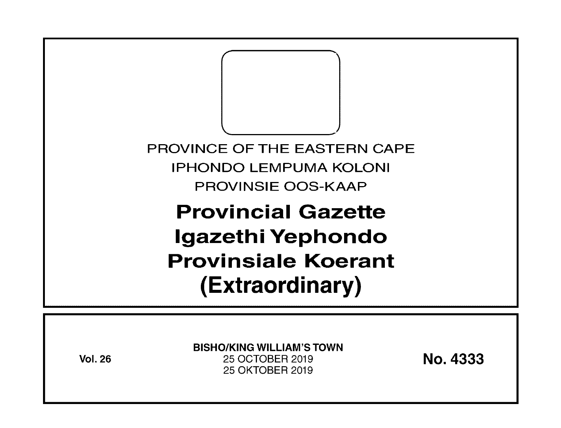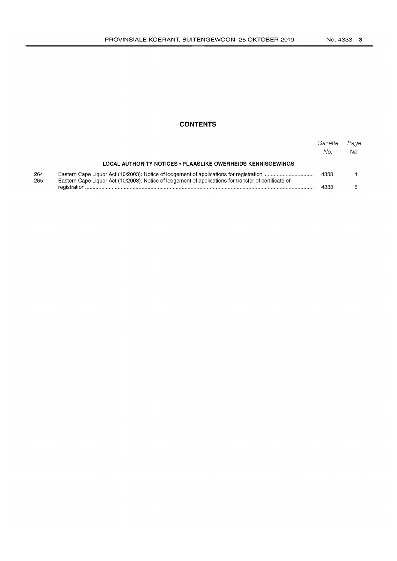# **CONTENTS**

|            |                                                                                                       | Gazette<br>No. | Page<br>No. |
|------------|-------------------------------------------------------------------------------------------------------|----------------|-------------|
|            | LOCAL AUTHORITY NOTICES • PLAASLIKE OWERHEIDS KENNISGEWINGS                                           |                |             |
| 264<br>265 | Eastern Cape Liquor Act (10/2003): Notice of lodgement of applications for transfer of certificate of | 4333           |             |
|            |                                                                                                       | 4333           |             |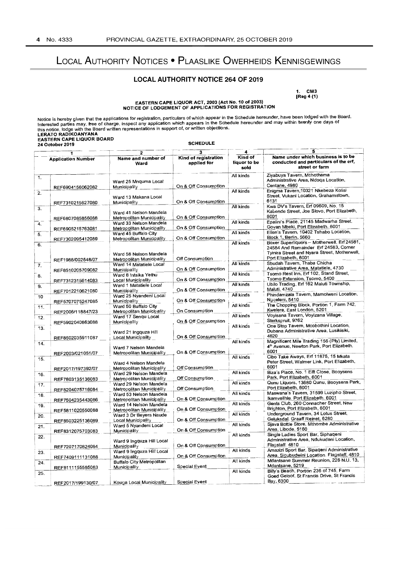# LOCAL AUTHORITY NOTICES • PLAASLIKE OWERHEIDS KENNISGEWINGS

### LOCAL AUTHORITY NOTICE 264 OF 2019

1. CM3 (Reg 4 (1)

# EASTERN CAPE LIQUOR ACT, 2003 (Act No. 10 of 2003) NOTICE OF LODGEMENT OF APPLICATIONS FOR REGISTRATION

Notice is hereby given that the applications for registration, particulars of which appear in the Schedule hereunder, have been lodged with the Board.<br>Interested parties may, free of charge, inspect any application which a this notice, lodge with the Board written representations in support of, or written objections. LERATO RADIKOANYANA<br>EASTERN CAPE LIQUOR BOARD<br>24 October 2019

 $\overline{\phantom{a}}$ 

| $\overline{\mathbf{3}}$<br>$\mathbf{2}$ |                   |                                                      |                                            |                                      | 5                                                                                                                                                            |  |
|-----------------------------------------|-------------------|------------------------------------------------------|--------------------------------------------|--------------------------------------|--------------------------------------------------------------------------------------------------------------------------------------------------------------|--|
| <b>Application Number</b>               |                   | Name and number of<br>Ward                           | <b>Kind of registration</b><br>applied for | 4<br>Kind of<br>liquor to be<br>sold | Name under which business is to be<br>conducted and particulars of the erf,<br>street or farm                                                                |  |
| 1.                                      |                   | Ward 25 Mnquma Local                                 |                                            | All kinds                            | Ziyabuya Tavern, Mchothama<br>Administrative Area, Ndoqa Location,                                                                                           |  |
|                                         | REF6904156062082  | Municipality                                         | On & Off Consumption                       |                                      | Centane, 4980                                                                                                                                                |  |
| 2.                                      | REF7310215627080  | Ward 13 Makana Local<br>Municipality                 | On & Off Consumption                       | All kinds                            | Enigma Tavern, 10321 Nkebeza Kolisi<br>Street, Vukani Location, Grahamstown,<br>6131                                                                         |  |
| 3.                                      | REF6807085856088  | Ward 41 Nelson Mandela<br>Metropolitan Municipality  | On & Off Consumption                       | All kinds                            | Kwa DV's Tavern, Erf 09609, No. 15<br>Kabende Street, Joe Slovo, Port Elizabeth,<br>6001                                                                     |  |
| 4.                                      | REF6905215763081  | Ward 33 Nelson Mandela<br>Metropolitan Municipality  | On & Off Consumption                       | All kinds                            | Epalini's Place, 21145 Madwarha Street.<br>Govan Mbeki, Port Elizabeth, 6001                                                                                 |  |
| 5.                                      | REF7302095412089  | Ward 45 Buffalo City<br>Metropolitan Municipality    | On & Off Consumption                       | All kinds                            | Ellen's Tavern, 10402 Tshabo Location,<br>Block 1, Berlin, 5660                                                                                              |  |
| 6.                                      |                   | Ward 58 Nelson Mandela                               | Off Consumption                            | All kinds                            | Boxer Superliquors - Motherwell, Erf 24581,<br>24584 And Remainder Erf 24583, Corner<br>Tyinira Street and Nyara Street, Motherwell,<br>Port Elizabeth, 6001 |  |
| 7.                                      | REF1988/002548/07 | Metropolitan Municipality<br>Ward 14 Matatiele Local | On & Off Consumption                       | All kinds                            | Sbudah Tavern, Thaba Chicha<br>Administrative Area, Matatiele, 4730                                                                                          |  |
| 8.                                      | REF8510205709082  | Municipality<br>Ward 8 Intsika Yethu                 |                                            | All kinds                            | Tsomo Rest Inn, Erf 102, Stand Street,<br>Tsomo Extension, Tsomo, 5400                                                                                       |  |
| 9.                                      | REF7312315614083  | Local Municipality<br>Ward 1 Matatiele Local         | On & Off Consumption                       | All kinds                            | Ubilo Trading, Erf 162 Maluti Township,<br>Maluti, 4740                                                                                                      |  |
| 10                                      | REF7012210621080  | Municipality<br>Ward 25 Nyandeni Local               | On & Off Consumption                       | Ail kinds                            | Phindamzala Tavern, Mamolweni Location,                                                                                                                      |  |
| 11.                                     | REF5707075247085  | Municipality<br>Ward 50 Buffalo City                 | On & Off Consumption                       | All kinds                            | Nggeleni, 5410<br>The Chopping Block, Portion 1, Farm 742,                                                                                                   |  |
| 12.                                     | REF2006/118847/23 | Metropolitan Municipality<br>Ward 17 Sengu Local     | On Consumption                             | All kinds                            | Kwelera, East London, 5201<br>Voyisana Tavern, Voyizana Village,                                                                                             |  |
| 13.                                     | REF5902040863088  | Municipality<br>Ward 21 Ingquza Hill                 | On & Off Consumption                       | All kinds                            | Sterkspruit, 9762<br>One Stop Tavern, Mcobothini Location,<br>Dubana Administrative Area, Lusikisiki,                                                        |  |
| 14.                                     | REF8502035911087  | Local Municipality                                   | On & Off Consumption                       | All kinds                            | 4820<br>Magnificent Mile Trading 156 (Pty) Limited,                                                                                                          |  |
|                                         | REF2003/021051/07 | Ward 7 Nelson Mandela<br>Metropolitan Municipality   | On & Off Consumption                       |                                      | 4 <sup>th</sup> Avenue, Newton Park, Port Elizabeth,<br>6001                                                                                                 |  |
| 15.                                     | REF2017/197392/07 | Ward 4 Nelson Mandela<br>Metropolitan Municipality   | Off Consumption                            | All kinds                            | Cibo Take Aways, Erf 11875, 15 Mkata<br>Peter Street, Walmer Link, Port Elizabeth,<br>6001                                                                   |  |
| 16.                                     | REF7803135136083  | Ward 29 Nelson Mandela<br>Metropolitan Municipality  | Off Consumption                            | All kinds                            | Biza's Place, No. 1 Elft Close, Booysens<br>Park, Port Elizabeth, 6001                                                                                       |  |
| 17.                                     | REF8204075716084  | Ward 29 Nelson Mandela<br>Metropolitan Municipality  | Off Consumption                            | All kinds                            | Qunu Liquors, 13680 Qunu, Booysens Park,<br>Port Elizabeth, 6001                                                                                             |  |
| 18.                                     | REF7504235443086  | Ward 53 Nelson Mandela<br>Metropolitan Municipality  | On & Off Consumption                       | All kinds                            | Maswana's Tavern, 31599 Luzipho Street,<br>Ikamvelihle. Port Elizabeth. 6001                                                                                 |  |
| 19.                                     | REF5811020550088  | Ward 14 Nelson Mandela<br>Metropolitan Municipality  | On & Off Consumption                       | All kinds                            | Gents Club, 260 Connacher Street, New<br>Brighton, Port Elizabeth, 6001                                                                                      |  |
| 20.                                     | REF8503225136089  | Ward 3 Dr Beyers Naude<br>Local Municipality         | On & Off Consumption                       | All kinds                            | Underground Tavern, 34 Lotus Street,<br>Geluksdal. Graaff Reinet, 6280                                                                                       |  |
| 21.                                     | REF8312075703083  | Ward 5 Nyandeni Local<br>Municipality                | On & Off Consumption                       | All kinds                            | Sjava Bottle Store, Mthombe Administrative<br>Area, Libode, 5160                                                                                             |  |
| 22.                                     | REF7207170824084  | Ward 9 Ingquza Hill Local<br>Municipality            | On & Off Consumption                       | All kinds                            | Single Ladies Sport Bar, Siphageni<br>Administrative Area, Ndukudeni Location,<br>Flagstaff. 4810                                                            |  |
| 23.                                     | REF7409111131088  | Ward 9 Ingquza Hill Local<br>Municipality            | On & Off Consumption                       | All kinds                            | Amazizi Sport Bar, Sipaqeni Administrative<br>Area, Sigubudwini Location. Flagstaff, 4810                                                                    |  |
| 24.                                     | REF8111155585083  | <b>Buffalo City Metropolitan</b><br>Municipality     | Special Event                              | All kinds                            | Mdantsane Summer Reunion, 226 N.U. 13,<br>Mdantsane, 5219                                                                                                    |  |
| 25.                                     | REF2017/199130/07 | Kouga Local Municipality                             | Special Event                              | All kinds                            | Billy's Beach, Portion 236 of 745, Farm<br>Goed Geloof, St Francis Drive, St Francis<br>Bay, 6300                                                            |  |